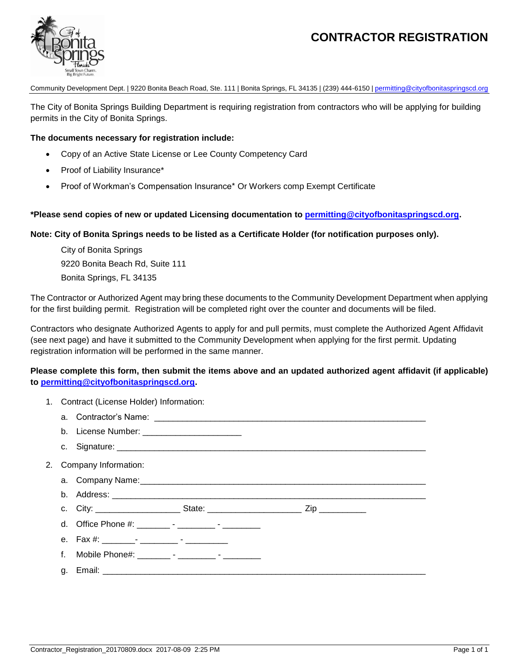# **CONTRACTOR REGISTRATION**



Community Development Dept. | 9220 Bonita Beach Road, Ste. 111 | Bonita Springs, FL 34135 | (239) 444-6150 [| permitting@cityofbonitaspringscd.org](mailto:Permitting@cityofbonitaspringscd.org)

The City of Bonita Springs Building Department is requiring registration from contractors who will be applying for building permits in the City of Bonita Springs.

### **The documents necessary for registration include:**

- Copy of an Active State License or Lee County Competency Card
- Proof of Liability Insurance\*
- Proof of Workman's Compensation Insurance\* Or Workers comp Exempt Certificate

### **\*Please send copies of new or updated Licensing documentation to [permitting@cityofbonitaspringscd.org.](mailto:permitting@cityofbonitaspringscd.org)**

#### **Note: City of Bonita Springs needs to be listed as a Certificate Holder (for notification purposes only).**

City of Bonita Springs 9220 Bonita Beach Rd, Suite 111 Bonita Springs, FL 34135

The Contractor or Authorized Agent may bring these documents to the Community Development Department when applying for the first building permit. Registration will be completed right over the counter and documents will be filed.

Contractors who designate Authorized Agents to apply for and pull permits, must complete the Authorized Agent Affidavit (see next page) and have it submitted to the Community Development when applying for the first permit. Updating registration information will be performed in the same manner.

## **Please complete this form, then submit the items above and an updated authorized agent affidavit (if applicable) to [permitting@cityofbonitaspringscd.org.](mailto:permitting@cityofbonitaspringscd.org)**

| 1. Contract (License Holder) Information: |                                                        |  |  |  |
|-------------------------------------------|--------------------------------------------------------|--|--|--|
|                                           |                                                        |  |  |  |
|                                           | b. License Number: ____________________________        |  |  |  |
|                                           |                                                        |  |  |  |
| Company Information:                      |                                                        |  |  |  |
|                                           |                                                        |  |  |  |
|                                           |                                                        |  |  |  |
|                                           |                                                        |  |  |  |
|                                           | d. Office Phone #: _________ - _________ - __________  |  |  |  |
|                                           |                                                        |  |  |  |
|                                           | f. Mobile Phone#: _________- - _________ - ___________ |  |  |  |
|                                           |                                                        |  |  |  |